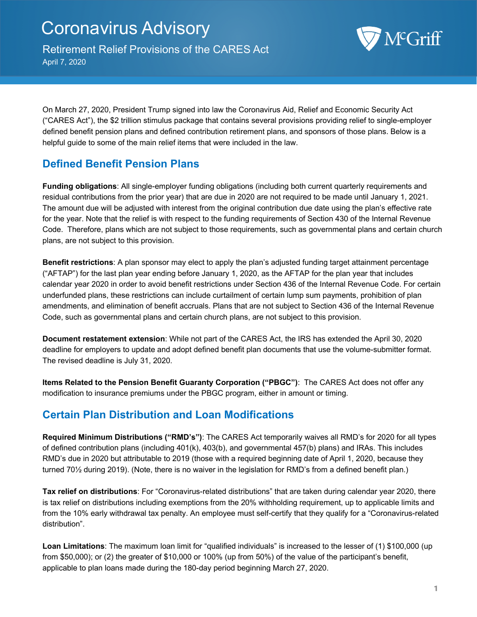Retirement Relief Provisions of the CARES Act April 7, 2020



On March 27, 2020, President Trump signed into law the Coronavirus Aid, Relief and Economic Security Act ("CARES Act"), the \$2 trillion stimulus package that contains several provisions providing relief to single-employer defined benefit pension plans and defined contribution retirement plans, and sponsors of those plans. Below is a helpful guide to some of the main relief items that were included in the law.

## **Defined Benefit Pension Plans**

**Funding obligations**: All single-employer funding obligations (including both current quarterly requirements and residual contributions from the prior year) that are due in 2020 are not required to be made until January 1, 2021. The amount due will be adjusted with interest from the original contribution due date using the plan's effective rate for the year. Note that the relief is with respect to the funding requirements of Section 430 of the Internal Revenue Code. Therefore, plans which are not subject to those requirements, such as governmental plans and certain church plans, are not subject to this provision.

**Benefit restrictions**: A plan sponsor may elect to apply the plan's adjusted funding target attainment percentage ("AFTAP") for the last plan year ending before January 1, 2020, as the AFTAP for the plan year that includes calendar year 2020 in order to avoid benefit restrictions under Section 436 of the Internal Revenue Code. For certain underfunded plans, these restrictions can include curtailment of certain lump sum payments, prohibition of plan amendments, and elimination of benefit accruals. Plans that are not subject to Section 436 of the Internal Revenue Code, such as governmental plans and certain church plans, are not subject to this provision.

**Document restatement extension**: While not part of the CARES Act, the IRS has extended the April 30, 2020 deadline for employers to update and adopt defined benefit plan documents that use the volume-submitter format. The revised deadline is July 31, 2020.

**Items Related to the Pension Benefit Guaranty Corporation ("PBGC")**: The CARES Act does not offer any modification to insurance premiums under the PBGC program, either in amount or timing.

## **Certain Plan Distribution and Loan Modifications**

**Required Minimum Distributions ("RMD's")**: The CARES Act temporarily waives all RMD's for 2020 for all types of defined contribution plans (including 401(k), 403(b), and governmental 457(b) plans) and IRAs. This includes RMD's due in 2020 but attributable to 2019 (those with a required beginning date of April 1, 2020, because they turned 70½ during 2019). (Note, there is no waiver in the legislation for RMD's from a defined benefit plan.)

**Tax relief on distributions**: For "Coronavirus-related distributions" that are taken during calendar year 2020, there is tax relief on distributions including exemptions from the 20% withholding requirement, up to applicable limits and from the 10% early withdrawal tax penalty. An employee must self-certify that they qualify for a "Coronavirus-related distribution".

**Loan Limitations**: The maximum loan limit for "qualified individuals" is increased to the lesser of (1) \$100,000 (up from \$50,000); or (2) the greater of \$10,000 or 100% (up from 50%) of the value of the participant's benefit, applicable to plan loans made during the 180-day period beginning March 27, 2020.